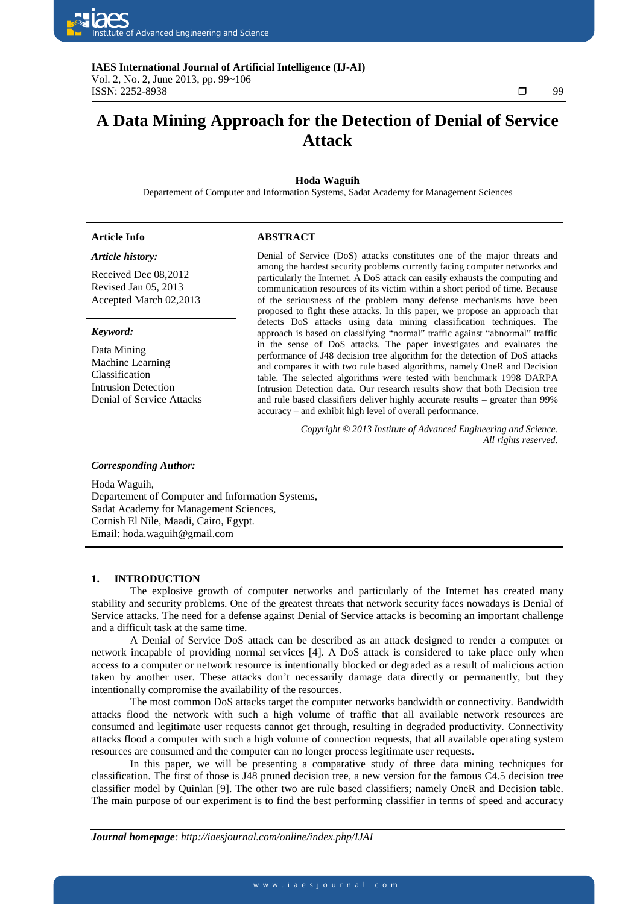

# ٦ **A Data Mining Approach for the Detection of Denial of Service Attack**

# **Hoda Waguih**

Departement of Computer and Information Systems, Sadat Academy for Management Sciences

### *Article history:*

Received Dec 08,2012 Revised Jan 05, 2013 Accepted March 02,2013

#### *Keyword:*

Data Mining Machine Learning Classification Intrusion Detection Denial of Service Attacks

# **Article Info ABSTRACT**

Denial of Service (DoS) attacks constitutes one of the major threats and among the hardest security problems currently facing computer networks and particularly the Internet. A DoS attack can easily exhausts the computing and communication resources of its victim within a short period of time. Because of the seriousness of the problem many defense mechanisms have been proposed to fight these attacks. In this paper, we propose an approach that detects DoS attacks using data mining classification techniques. The approach is based on classifying "normal" traffic against "abnormal" traffic in the sense of DoS attacks. The paper investigates and evaluates the performance of J48 decision tree algorithm for the detection of DoS attacks and compares it with two rule based algorithms, namely OneR and Decision table. The selected algorithms were tested with benchmark 1998 DARPA Intrusion Detection data. Our research results show that both Decision tree and rule based classifiers deliver highly accurate results – greater than 99% accuracy – and exhibit high level of overall performance.

> *Copyright © 2013 Institute of Advanced Engineering and Science. All rights reserved.*

# *Corresponding Author:*

Hoda Waguih,

Departement of Computer and Information Systems, Sadat Academy for Management Sciences, Cornish El Nile, Maadi, Cairo, Egypt. Email: hoda.waguih@gmail.com

# **1. INTRODUCTION**

The explosive growth of computer networks and particularly of the Internet has created many stability and security problems. One of the greatest threats that network security faces nowadays is Denial of Service attacks. The need for a defense against Denial of Service attacks is becoming an important challenge and a difficult task at the same time.

A Denial of Service DoS attack can be described as an attack designed to render a computer or network incapable of providing normal services [4]. A DoS attack is considered to take place only when access to a computer or network resource is intentionally blocked or degraded as a result of malicious action taken by another user. These attacks don't necessarily damage data directly or permanently, but they intentionally compromise the availability of the resources.

The most common DoS attacks target the computer networks bandwidth or connectivity. Bandwidth attacks flood the network with such a high volume of traffic that all available network resources are consumed and legitimate user requests cannot get through, resulting in degraded productivity. Connectivity attacks flood a computer with such a high volume of connection requests, that all available operating system resources are consumed and the computer can no longer process legitimate user requests.

In this paper, we will be presenting a comparative study of three data mining techniques for classification. The first of those is J48 pruned decision tree, a new version for the famous C4.5 decision tree classifier model by Quinlan [9]. The other two are rule based classifiers; namely OneR and Decision table. The main purpose of our experiment is to find the best performing classifier in terms of speed and accuracy

*Journal homepage: http://iaesjournal.com/online/index.php/IJAI*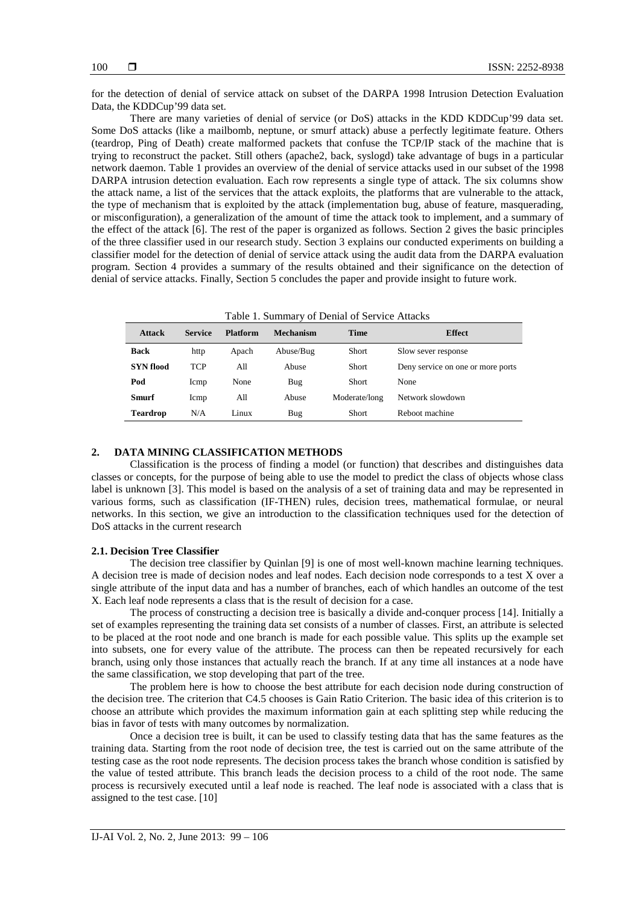for the detection of denial of service attack on subset of the DARPA 1998 Intrusion Detection Evaluation Data, the KDDCup'99 data set.

There are many varieties of denial of service (or DoS) attacks in the KDD KDDCup'99 data set. Some DoS attacks (like a mailbomb, neptune, or smurf attack) abuse a perfectly legitimate feature. Others (teardrop, Ping of Death) create malformed packets that confuse the TCP/IP stack of the machine that is trying to reconstruct the packet. Still others (apache2, back, syslogd) take advantage of bugs in a particular network daemon. Table 1 provides an overview of the denial of service attacks used in our subset of the 1998 DARPA intrusion detection evaluation. Each row represents a single type of attack. The six columns show the attack name, a list of the services that the attack exploits, the platforms that are vulnerable to the attack, the type of mechanism that is exploited by the attack (implementation bug, abuse of feature, masquerading, or misconfiguration), a generalization of the amount of time the attack took to implement, and a summary of the effect of the attack  $[6]$ . The rest of the paper is organized as follows. Section 2 gives the basic principles of the three classifier used in our research study. Section 3 explains our conducted experiments on building a classifier model for the detection of denial of service attack using the audit data from the DARPA evaluation program. Section 4 provides a summary of the results obtained and their significance on the detection of denial of service attacks. Finally, Section 5 concludes the paper and provide insight to future work.

| <b>Attack</b>    | <b>Service</b> | <b>Platform</b> | <b>Mechanism</b> | Time          | <b>Effect</b>                     |
|------------------|----------------|-----------------|------------------|---------------|-----------------------------------|
| <b>Back</b>      | http           | Apach           | Abuse/Bug        | Short         | Slow sever response               |
| <b>SYN</b> flood | <b>TCP</b>     | A11             | Abuse            | <b>Short</b>  | Deny service on one or more ports |
| Pod              | Icmp           | None            | Bug              | <b>Short</b>  | None                              |
| <b>Smurf</b>     | Icmp           | All             | Abuse            | Moderate/long | Network slowdown                  |
| <b>Teardrop</b>  | N/A            | Linux           | Bug              | Short         | Reboot machine                    |

# **2. DATA MINING CLASSIFICATION METHODS**

Classification is the process of finding a model (or function) that describes and distinguishes data classes or concepts, for the purpose of being able to use the model to predict the class of objects whose class label is unknown [3]. This model is based on the analysis of a set of training data and may be represented in various forms, such as classification (IF-THEN) rules, decision trees, mathematical formulae, or neural networks. In this section, we give an introduction to the classification techniques used for the detection of DoS attacks in the current research

#### **2.1. Decision Tree Classifier**

The decision tree classifier by Quinlan [9] is one of most well-known machine learning techniques. A decision tree is made of decision nodes and leaf nodes. Each decision node corresponds to a test X over a single attribute of the input data and has a number of branches, each of which handles an outcome of the test X. Each leaf node represents a class that is the result of decision for a case.

The process of constructing a decision tree is basically a divide and-conquer process [14]. Initially a set of examples representing the training data set consists of a number of classes. First, an attribute is selected to be placed at the root node and one branch is made for each possible value. This splits up the example set into subsets, one for every value of the attribute. The process can then be repeated recursively for each branch, using only those instances that actually reach the branch. If at any time all instances at a node have the same classification, we stop developing that part of the tree.

The problem here is how to choose the best attribute for each decision node during construction of the decision tree. The criterion that C4.5 chooses is Gain Ratio Criterion. The basic idea of this criterion is to choose an attribute which provides the maximum information gain at each splitting step while reducing the bias in favor of tests with many outcomes by normalization.

Once a decision tree is built, it can be used to classify testing data that has the same features as the training data. Starting from the root node of decision tree, the test is carried out on the same attribute of the testing case as the root node represents. The decision process takes the branch whose condition is satisfied by the value of tested attribute. This branch leads the decision process to a child of the root node. The same process is recursively executed until a leaf node is reached. The leaf node is associated with a class that is assigned to the test case. [10]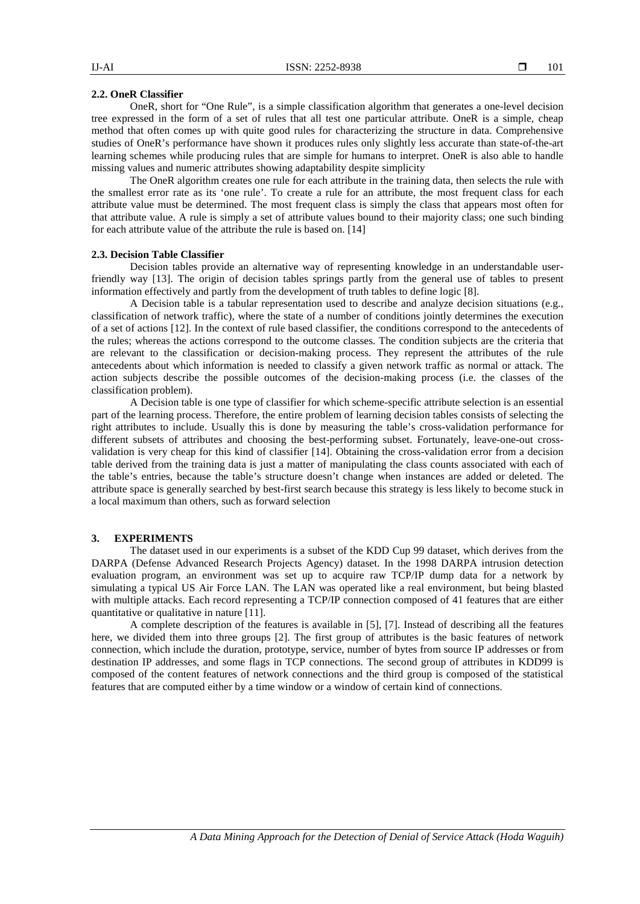#### **2.2. OneR Classifier**

OneR, short for "One Rule", is a simple classification algorithm that generates a one-level decision tree expressed in the form of a set of rules that all test one particular attribute. OneR is a simple, cheap method that often comes up with quite good rules for characterizing the structure in data. Comprehensive studies of OneR's performance have shown it produces rules only slightly less accurate than state-of-the-art learning schemes while producing rules that are simple for humans to interpret. OneR is also able to handle missing values and numeric attributes showing adaptability despite simplicity

The OneR algorithm creates one rule for each attribute in the training data, then selects the rule with the smallest error rate as its 'one rule'. To create a rule for an attribute, the most frequent class for each attribute value must be determined. The most frequent class is simply the class that appears most often for that attribute value. A rule is simply a set of attribute values bound to their majority class; one such binding for each attribute value of the attribute the rule is based on. [14]

# **2.3. Decision Table Classifier**

Decision tables provide an alternative way of representing knowledge in an understandable userfriendly way [13]. The origin of decision tables springs partly from the general use of tables to present information effectively and partly from the development of truth tables to define logic [8].

A Decision table is a tabular representation used to describe and analyze decision situations (e.g., classification of network traffic), where the state of a number of conditions jointly determines the execution of a set of actions [12]. In the context of rule based classifier, the conditions correspond to the antecedents of the rules; whereas the actions correspond to the outcome classes. The condition subjects are the criteria that are relevant to the classification or decision-making process. They represent the attributes of the rule antecedents about which information is needed to classify a given network traffic as normal or attack. The action subjects describe the possible outcomes of the decision-making process (i.e. the classes of the classification problem).

A Decision table is one type of classifier for which scheme-specific attribute selection is an essential part of the learning process. Therefore, the entire problem of learning decision tables consists of selecting the right attributes to include. Usually this is done by measuring the table's cross-validation performance for different subsets of attributes and choosing the best-performing subset. Fortunately, leave-one-out crossvalidation is very cheap for this kind of classifier [14]. Obtaining the cross-validation error from a decision table derived from the training data is just a matter of manipulating the class counts associated with each of the table's entries, because the table's structure doesn't change when instances are added or deleted. The attribute space is generally searched by best-first search because this strategy is less likely to become stuck in a local maximum than others, such as forward selection

#### **3. EXPERIMENTS**

The dataset used in our experiments is a subset of the KDD Cup 99 dataset, which derives from the DARPA (Defense Advanced Research Projects Agency) dataset. In the 1998 DARPA intrusion detection evaluation program, an environment was set up to acquire raw TCP/IP dump data for a network by simulating a typical US Air Force LAN. The LAN was operated like a real environment, but being blasted with multiple attacks. Each record representing a TCP/IP connection composed of 41 features that are either quantitative or qualitative in nature [11].

A complete description of the features is available in [5], [7]. Instead of describing all the features here, we divided them into three groups [2]. The first group of attributes is the basic features of network connection, which include the duration, prototype, service, number of bytes from source IP addresses or from destination IP addresses, and some flags in TCP connections. The second group of attributes in KDD99 is composed of the content features of network connections and the third group is composed of the statistical features that are computed either by a time window or a window of certain kind of connections.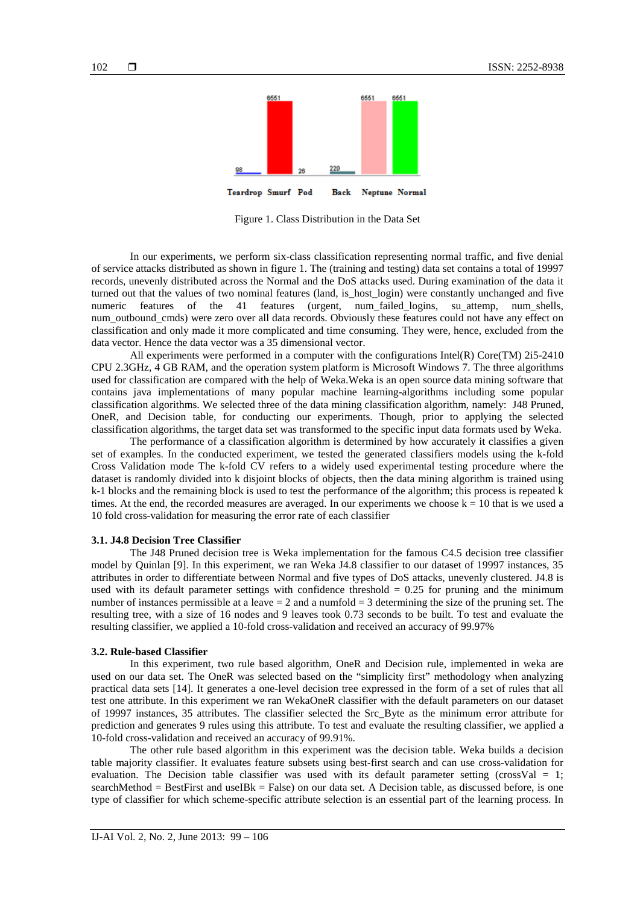

Figure 1. Class Distribution in the Data Set

In our experiments, we perform six-class classification representing normal traffic, and five denial of service attacks distributed as shown in figure 1. The (training and testing) data set contains a total of 19997 records, unevenly distributed across the Normal and the DoS attacks used. During examination of the data it turned out that the values of two nominal features (land, is\_host\_login) were constantly unchanged and five numeric features of the 41 features (urgent, num\_failed\_logins, su\_attemp, num\_shells, num\_outbound\_cmds) were zero over all data records. Obviously these features could not have any effect on classification and only made it more complicated and time consuming. They were, hence, excluded from the data vector. Hence the data vector was a 35 dimensional vector.

All experiments were performed in a computer with the configurations Intel(R) Core(TM) 2i5-2410 CPU 2.3GHz, 4 GB RAM, and the operation system platform is Microsoft Windows 7. The three algorithms used for classification are compared with the help of Weka.Weka is an open source data mining software that contains java implementations of many popular machine learning-algorithms including some popular classification algorithms. We selected three of the data mining classification algorithm, namely: J48 Pruned, OneR, and Decision table, for conducting our experiments. Though, prior to applying the selected classification algorithms, the target data set was transformed to the specific input data formats used by Weka.

The performance of a classification algorithm is determined by how accurately it classifies a given set of examples. In the conducted experiment, we tested the generated classifiers models using the k-fold Cross Validation mode The k-fold CV refers to a widely used experimental testing procedure where the dataset is randomly divided into k disjoint blocks of objects, then the data mining algorithm is trained using k-1 blocks and the remaining block is used to test the performance of the algorithm; this process is repeated k times. At the end, the recorded measures are averaged. In our experiments we choose  $k = 10$  that is we used a 10 fold cross-validation for measuring the error rate of each classifier

# **3.1. J4.8 Decision Tree Classifier**

The J48 Pruned decision tree is Weka implementation for the famous C4.5 decision tree classifier model by Quinlan [9]. In this experiment, we ran Weka J4.8 classifier to our dataset of 19997 instances, 35 attributes in order to differentiate between Normal and five types of DoS attacks, unevenly clustered. J4.8 is used with its default parameter settings with confidence threshold  $= 0.25$  for pruning and the minimum number of instances permissible at a leave  $= 2$  and a numfold  $= 3$  determining the size of the pruning set. The resulting tree, with a size of 16 nodes and 9 leaves took 0.73 seconds to be built. To test and evaluate the resulting classifier, we applied a 10-fold cross-validation and received an accuracy of 99.97%

# **3.2. Rule-based Classifier**

In this experiment, two rule based algorithm, OneR and Decision rule, implemented in weka are used on our data set. The OneR was selected based on the "simplicity first" methodology when analyzing practical data sets [14]. It generates a one-level decision tree expressed in the form of a set of rules that all test one attribute. In this experiment we ran WekaOneR classifier with the default parameters on our dataset of 19997 instances, 35 attributes. The classifier selected the Src\_Byte as the minimum error attribute for prediction and generates 9 rules using this attribute. To test and evaluate the resulting classifier, we applied a 10-fold cross-validation and received an accuracy of 99.91%.

The other rule based algorithm in this experiment was the decision table. Weka builds a decision table majority classifier. It evaluates feature subsets using best-first search and can use cross-validation for evaluation. The Decision table classifier was used with its default parameter setting (crossVal  $= 1$ ; searchMethod = BestFirst and useIBk = False) on our data set. A Decision table, as discussed before, is one type of classifier for which scheme-specific attribute selection is an essential part of the learning process. In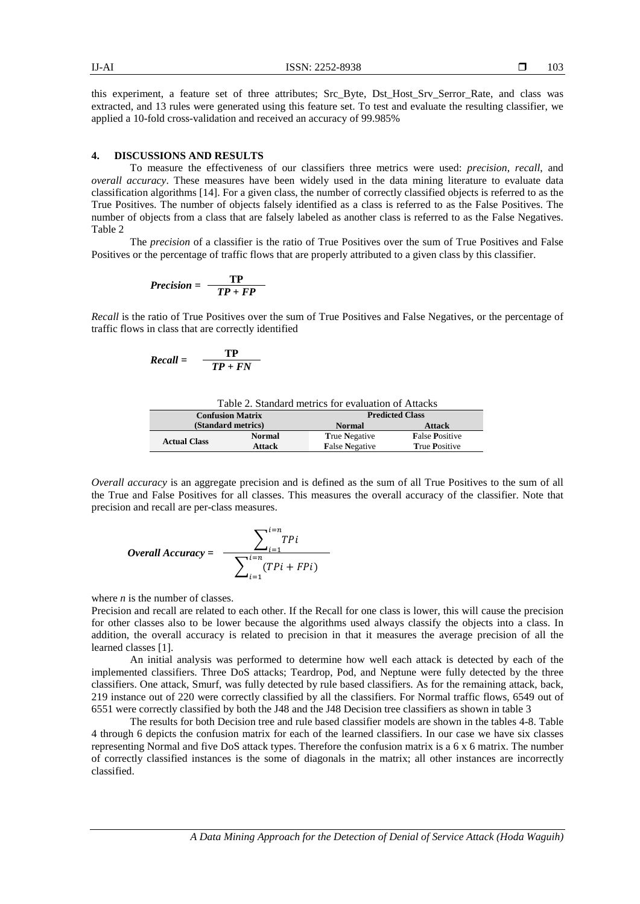this experiment, a feature set of three attributes; Src\_Byte, Dst\_Host\_Srv\_Serror\_Rate, and class was extracted, and 13 rules were generated using this feature set. To test and evaluate the resulting classifier, we applied a 10-fold cross-validation and received an accuracy of 99.985%

### **4. DISCUSSIONS AND RESULTS**

To measure the effectiveness of our classifiers three metrics were used: *precision*, *recall*, and *overall accuracy*. These measures have been widely used in the data mining literature to evaluate data classification algorithms [14]. For a given class, the number of correctly classified objects is referred to as the True Positives. The number of objects falsely identified as a class is referred to as the False Positives. The number of objects from a class that are falsely labeled as another class is referred to as the False Negatives. Table 2

The *precision* of a classifier is the ratio of True Positives over the sum of True Positives and False Positives or the percentage of traffic flows that are properly attributed to a given class by this classifier.

$$
Precision = \frac{TP}{TP + FP}
$$

*Recall* is the ratio of True Positives over the sum of True Positives and False Negatives, or the percentage of traffic flows in class that are correctly identified

$$
Recall = \frac{TP}{TP + FN}
$$

Table 2. Standard metrics for evaluation of Attacks

| <b>Confusion Matrix</b> |               | <b>Predicted Class</b> |                       |  |  |
|-------------------------|---------------|------------------------|-----------------------|--|--|
| (Standard metrics)      |               | <b>Normal</b>          | <b>Attack</b>         |  |  |
|                         | <b>Normal</b> | <b>True Negative</b>   | <b>False Positive</b> |  |  |
| <b>Actual Class</b>     | Attack        | <b>False Negative</b>  | <b>True Positive</b>  |  |  |

*Overall accuracy* is an aggregate precision and is defined as the sum of all True Positives to the sum of all the True and False Positives for all classes. This measures the overall accuracy of the classifier. Note that precision and recall are per-class measures.

*Overall Accuracy* = 
$$
\frac{\sum_{i=1}^{i=n} TP_i}{\sum_{i=1}^{i=n} (TPi + FPi)}
$$

where *n* is the number of classes.

Precision and recall are related to each other. If the Recall for one class is lower, this will cause the precision for other classes also to be lower because the algorithms used always classify the objects into a class. In addition, the overall accuracy is related to precision in that it measures the average precision of all the learned classes [1].

An initial analysis was performed to determine how well each attack is detected by each of the implemented classifiers. Three DoS attacks; Teardrop, Pod, and Neptune were fully detected by the three classifiers. One attack, Smurf, was fully detected by rule based classifiers. As for the remaining attack, back, 219 instance out of 220 were correctly classified by all the classifiers. For Normal traffic flows, 6549 out of 6551 were correctly classified by both the J48 and the J48 Decision tree classifiers as shown in table 3

The results for both Decision tree and rule based classifier models are shown in the tables 4-8. Table 4 through 6 depicts the confusion matrix for each of the learned classifiers. In our case we have six classes representing Normal and five DoS attack types. Therefore the confusion matrix is a 6 x 6 matrix. The number of correctly classified instances is the some of diagonals in the matrix; all other instances are incorrectly classified.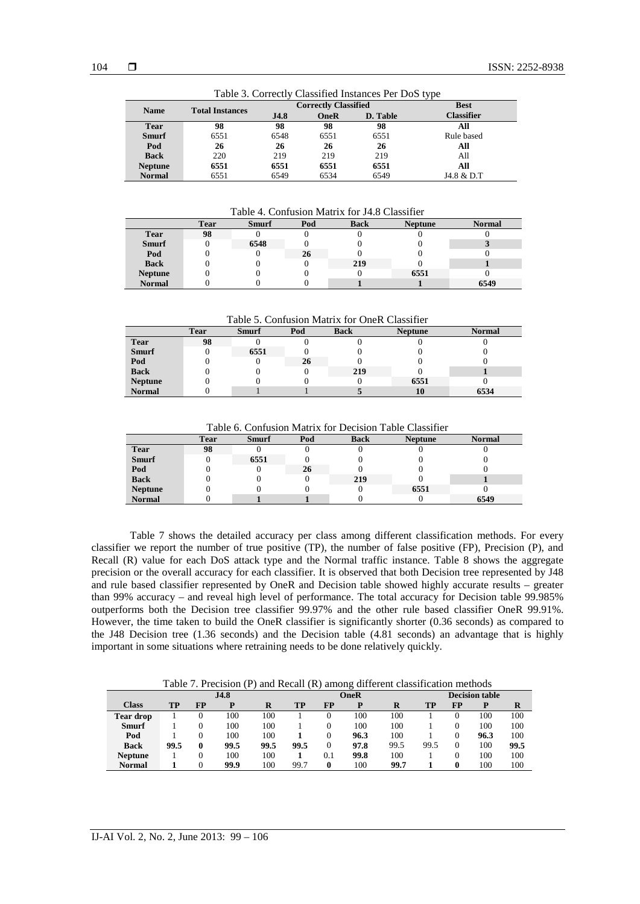|                | Table 5. Correctly Chassilica mstances I el Dob type |      |                             |             |                   |  |  |  |  |
|----------------|------------------------------------------------------|------|-----------------------------|-------------|-------------------|--|--|--|--|
| <b>Name</b>    | <b>Total Instances</b>                               |      | <b>Correctly Classified</b> | <b>Best</b> |                   |  |  |  |  |
|                |                                                      | J4.8 | <b>OneR</b>                 | D. Table    | <b>Classifier</b> |  |  |  |  |
| <b>Tear</b>    | 98                                                   | 98   | 98                          | 98          | All               |  |  |  |  |
| <b>Smurf</b>   | 6551                                                 | 6548 | 6551                        | 6551        | Rule based        |  |  |  |  |
| Pod            | 26                                                   | 26   | 26                          | 26          | All               |  |  |  |  |
| <b>Back</b>    | 220                                                  | 219  | 219                         | 219         | All               |  |  |  |  |
| <b>Neptune</b> | 6551                                                 | 6551 | 6551                        | 6551        | All               |  |  |  |  |
| <b>Normal</b>  | 6551                                                 | 6549 | 6534                        | 6549        | J4.8 & D.T        |  |  |  |  |

Table 3. Correctly Classified Instances Per DoS type

Table 4. Confusion Matrix for J4.8 Classifier

|                | <b>Tear</b> | <b>Smurf</b> | Pod | <b>Back</b> | <b>Neptune</b> | <b>Normal</b> |
|----------------|-------------|--------------|-----|-------------|----------------|---------------|
| <b>Tear</b>    | 98          |              |     |             |                |               |
| <b>Smurf</b>   |             | 6548         |     |             |                |               |
| Pod            |             |              | 26  |             |                |               |
| <b>Back</b>    |             |              |     | 219         |                |               |
| <b>Neptune</b> |             |              |     |             | 6551           |               |
| <b>Normal</b>  |             |              |     |             |                | 6549          |

Table 5. Confusion Matrix for OneR Classifier

|                | <b>Tear</b> | <b>Smurf</b> | Pod | <b>Back</b> | <b>Neptune</b> | <b>Normal</b> |
|----------------|-------------|--------------|-----|-------------|----------------|---------------|
| <b>Tear</b>    | 98          |              |     |             |                |               |
| <b>Smurf</b>   |             | 6551         |     |             |                |               |
| Pod            |             |              | 26  |             |                |               |
| <b>Back</b>    |             |              |     | 219         |                |               |
| <b>Neptune</b> |             |              |     |             | 6551           |               |
| <b>Normal</b>  |             |              |     |             | 10             | 6534          |

Table 6. Confusion Matrix for Decision Table Classifier

|                | <b>Tear</b> | <b>Smurf</b> | Pod | <b>Back</b> | <b>Neptune</b> | <b>Normal</b> |
|----------------|-------------|--------------|-----|-------------|----------------|---------------|
| <b>Tear</b>    | 98          |              |     |             |                |               |
| <b>Smurf</b>   |             | 6551         |     |             |                |               |
| Pod            |             |              | 26  |             |                |               |
| <b>Back</b>    |             |              |     | 219         |                |               |
| <b>Neptune</b> |             |              |     |             | 6551           |               |
| <b>Normal</b>  |             |              |     |             |                | 6549          |

Table 7 shows the detailed accuracy per class among different classification methods. For every classifier we report the number of true positive (TP), the number of false positive (FP), Precision (P), and Recall (R) value for each DoS attack type and the Normal traffic instance. Table 8 shows the aggregate precision or the overall accuracy for each classifier. It is observed that both Decision tree represented by J48 and rule based classifier represented by OneR and Decision table showed highly accurate results – greater than 99% accuracy – and reveal high level of performance. The total accuracy for Decision table 99.985% outperforms both the Decision tree classifier 99.97% and the other rule based classifier OneR 99.91%. However, the time taken to build the OneR classifier is significantly shorter (0.36 seconds) as compared to the J48 Decision tree (1.36 seconds) and the Decision table (4.81 seconds) an advantage that is highly important in some situations where retraining needs to be done relatively quickly.

Table 7. Precision (P) and Recall (R) among different classification methods

|                  | J4.8 |    |      |      |      | <b>OneR</b> |      |      |      | <b>Decision table</b> |      |      |  |
|------------------|------|----|------|------|------|-------------|------|------|------|-----------------------|------|------|--|
| <b>Class</b>     | TP   | FP | D    | R    | TP   | FP          | P    |      | TP   | FP                    | D    | R    |  |
| <b>Tear drop</b> |      | 0  | 100  | 100  |      |             | 100  | 100  |      |                       | 100  | 100  |  |
| <b>Smurf</b>     |      | 0  | 100  | 100  |      |             | 100  | 100  |      |                       | 100  | 100  |  |
| Pod              |      | 0  | 100  | 100  |      |             | 96.3 | 100  |      | 0                     | 96.3 | 100  |  |
| <b>Back</b>      | 99.5 | 0  | 99.5 | 99.5 | 99.5 |             | 97.8 | 99.5 | 99.5 | $\theta$              | 100  | 99.5 |  |
| <b>Neptune</b>   |      | 0  | 100  | 100  |      | 0.1         | 99.8 | 100  |      |                       | 100  | 100  |  |
| <b>Normal</b>    |      |    | 99.9 | 100  | 99.7 |             | 100  | 99.7 |      | 0                     | 100  | 100  |  |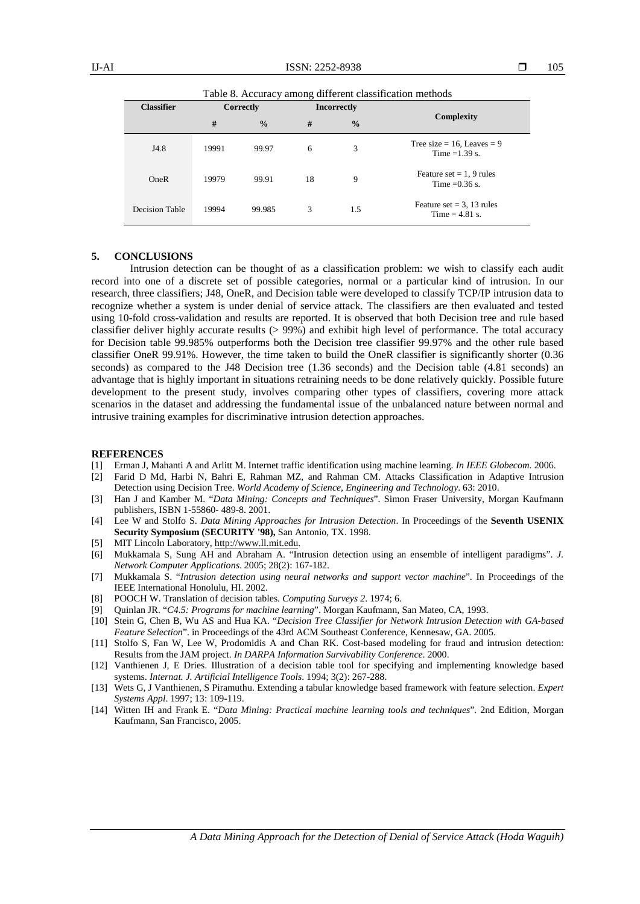Table 8. Accuracy among different classification methods

| <b>Classifier</b> |       | Correctly     |    | <b>Incorrectly</b> |                                                  |
|-------------------|-------|---------------|----|--------------------|--------------------------------------------------|
|                   | #     | $\frac{0}{0}$ | #  | $\frac{0}{0}$      | Complexity                                       |
| J4.8              | 19991 | 99.97         | 6  | 3                  | Tree size = 16, Leaves = $9$<br>Time = $1.39$ s. |
| OneR              | 19979 | 99.91         | 18 | 9                  | Feature set $= 1, 9$ rules<br>Time = $0.36$ s.   |
| Decision Table    | 19994 | 99.985        | 3  | 1.5                | Feature set $=$ 3, 13 rules<br>Time $= 4.81$ s.  |

# **5. CONCLUSIONS**

Intrusion detection can be thought of as a classification problem: we wish to classify each audit record into one of a discrete set of possible categories, normal or a particular kind of intrusion. In our research, three classifiers; J48, OneR, and Decision table were developed to classify TCP/IP intrusion data to recognize whether a system is under denial of service attack. The classifiers are then evaluated and tested using 10-fold cross-validation and results are reported. It is observed that both Decision tree and rule based classifier deliver highly accurate results (> 99%) and exhibit high level of performance. The total accuracy for Decision table 99.985% outperforms both the Decision tree classifier 99.97% and the other rule based classifier OneR 99.91%. However, the time taken to build the OneR classifier is significantly shorter (0.36 seconds) as compared to the J48 Decision tree (1.36 seconds) and the Decision table (4.81 seconds) an advantage that is highly important in situations retraining needs to be done relatively quickly. Possible future development to the present study, involves comparing other types of classifiers, covering more attack scenarios in the dataset and addressing the fundamental issue of the unbalanced nature between normal and intrusive training examples for discriminative intrusion detection approaches.

#### **REFERENCES**

- [1] Erman J, Mahanti A and Arlitt M. Internet traffic identification using machine learning. *In IEEE Globecom*. 2006.
- [2] Farid D Md, Harbi N, Bahri E, Rahman MZ, and Rahman CM. Attacks Classification in Adaptive Intrusion Detection using Decision Tree. *World Academy of Science, Engineering and Technology*. 63: 2010.
- [3] Han J and Kamber M. "*Data Mining: Concepts and Techniques*". Simon Fraser University, Morgan Kaufmann publishers, ISBN 1-55860- 489-8. 2001.
- [4] Lee W and Stolfo S. *Data Mining Approaches for Intrusion Detection*. In Proceedings of the **Seventh USENIX Security Symposium (SECURITY '98),** San Antonio, TX. 1998.
- [5] MIT Lincoln Laboratory, [http://www.ll.mit.edu.](http://www.ll.mit.edu/)
- [6] Mukkamala S, Sung AH and Abraham A. "Intrusion detection using an ensemble of intelligent paradigms". *J. Network Computer Applications*. 2005; 28(2): 167-182.
- [7] Mukkamala S. "*Intrusion detection using neural networks and support vector machine*". In Proceedings of the IEEE International Honolulu, HI. 2002.
- [8] POOCH W. Translation of decision tables. *Computing Surveys 2*. 1974; 6.
- [9] Quinlan JR. "*C4.5: Programs for machine learning*". Morgan Kaufmann, San Mateo, CA, 1993.
- [10] Stein G, Chen B, Wu AS and Hua KA. "*Decision Tree Classifier for Network Intrusion Detection with GA-based Feature Selection*". in Proceedings of the 43rd ACM Southeast Conference, Kennesaw, GA. 2005.
- [11] Stolfo S, Fan W, Lee W, Prodomidis A and Chan RK. Cost-based modeling for fraud and intrusion detection: Results from the JAM project. *In DARPA Information Survivability Conference*. 2000.
- [12] Vanthienen J, E Dries. Illustration of a decision table tool for specifying and implementing knowledge based systems. *Internat. J. Artificial Intelligence Tools*. 1994; 3(2): 267-288.
- [13] Wets G, J Vanthienen, S Piramuthu. Extending a tabular knowledge based framework with feature selection. *Expert Systems Appl*. 1997; 13: 109-119.
- [14] Witten IH and Frank E. "*Data Mining: Practical machine learning tools and techniques*". 2nd Edition, Morgan Kaufmann, San Francisco, 2005.